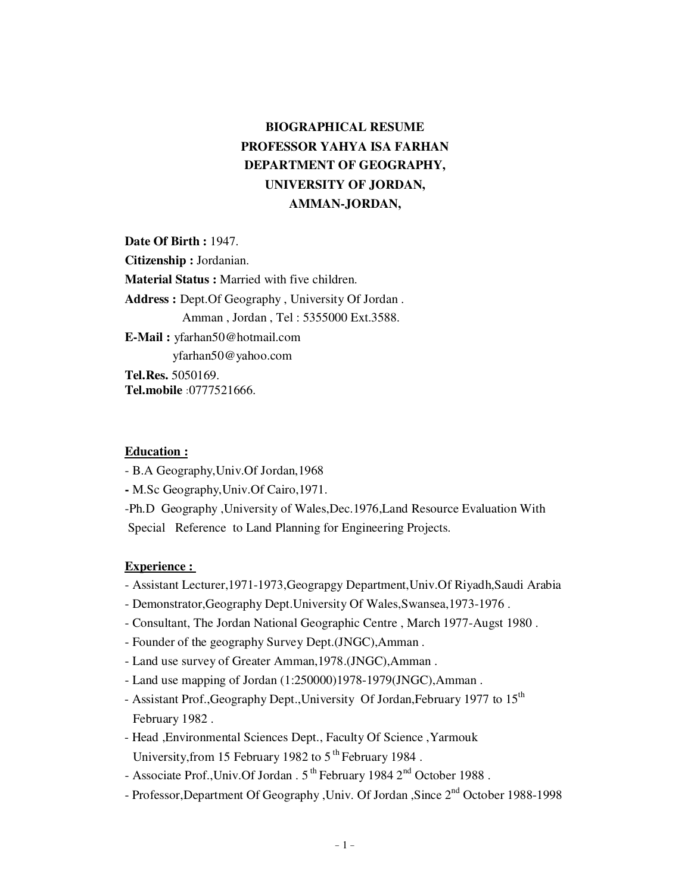# **BIOGRAPHICAL RESUME PROFESSOR YAHYA ISA FARHAN DEPARTMENT OF GEOGRAPHY, UNIVERSITY OF JORDAN, AMMAN-JORDAN,**

**Date Of Birth :** 1947. **Citizenship :** Jordanian. **Material Status :** Married with five children. **Address :** Dept.Of Geography , University Of Jordan . Amman , Jordan , Tel : 5355000 Ext.3588. **E-Mail :** yfarhan50@hotmail.com yfarhan50@yahoo.com **Tel.Res.** 5050169. **Tel.mobile** : 0777521666.

### **Education :**

- B.A Geography,Univ.Of Jordan,1968
- M.Sc Geography,Univ.Of Cairo,1971.
- -Ph.D Geography ,University of Wales,Dec.1976,Land Resource Evaluation With Special Reference to Land Planning for Engineering Projects.

#### **Experience :**

- Assistant Lecturer,1971-1973,Geograpgy Department,Univ.Of Riyadh,Saudi Arabia
- Demonstrator,Geography Dept.University Of Wales,Swansea,1973-1976 .
- Consultant, The Jordan National Geographic Centre , March 1977-Augst 1980 .
- Founder of the geography Survey Dept.(JNGC),Amman .
- Land use survey of Greater Amman,1978.(JNGC),Amman .
- Land use mapping of Jordan (1:250000)1978-1979(JNGC),Amman .
- Assistant Prof., Geography Dept., University Of Jordan, February 1977 to 15<sup>th</sup> February 1982 .
- Head ,Environmental Sciences Dept., Faculty Of Science ,Yarmouk University, from 15 February 1982 to  $5<sup>th</sup>$  February 1984.
- Associate Prof., Univ. Of Jordan . 5<sup>th</sup> February 1984 2<sup>nd</sup> October 1988.
- Professor,Department Of Geography ,Univ. Of Jordan ,Since 2nd October 1988-1998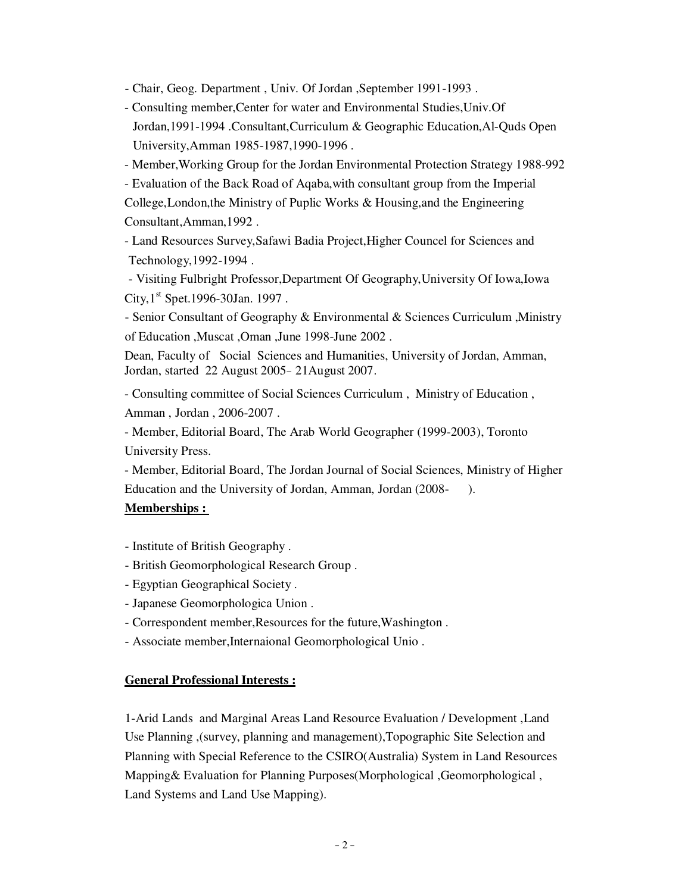- Chair, Geog. Department , Univ. Of Jordan ,September 1991-1993 .

- Consulting member,Center for water and Environmental Studies,Univ.Of Jordan,1991-1994 .Consultant,Curriculum & Geographic Education,Al-Quds Open University,Amman 1985-1987,1990-1996 .
- Member,Working Group for the Jordan Environmental Protection Strategy 1988-992
- Evaluation of the Back Road of Aqaba,with consultant group from the Imperial

College,London,the Ministry of Puplic Works & Housing,and the Engineering Consultant,Amman,1992 .

- Land Resources Survey,Safawi Badia Project,Higher Councel for Sciences and Technology,1992-1994 .

- Visiting Fulbright Professor,Department Of Geography,University Of Iowa,Iowa City,  $1^{\text{st}}$  Spet. 1996-30Jan. 1997.

- Senior Consultant of Geography & Environmental & Sciences Curriculum ,Ministry of Education ,Muscat ,Oman ,June 1998-June 2002 .

Dean, Faculty of Social Sciences and Humanities, University of Jordan, Amman, Jordan, started 22 August 2005 - 21 August 2007.

- Consulting committee of Social Sciences Curriculum , Ministry of Education , Amman , Jordan , 2006-2007 .

- Member, Editorial Board, The Arab World Geographer (1999-2003), Toronto University Press.

- Member, Editorial Board, The Jordan Journal of Social Sciences, Ministry of Higher Education and the University of Jordan, Amman, Jordan (2008- ).

## **Memberships :**

- Institute of British Geography .
- British Geomorphological Research Group .
- Egyptian Geographical Society .
- Japanese Geomorphologica Union .
- Correspondent member,Resources for the future,Washington .
- Associate member,Internaional Geomorphological Unio .

### **General Professional Interests :**

1-Arid Lands and Marginal Areas Land Resource Evaluation / Development ,Land Use Planning ,(survey, planning and management),Topographic Site Selection and Planning with Special Reference to the CSIRO(Australia) System in Land Resources Mapping& Evaluation for Planning Purposes(Morphological ,Geomorphological , Land Systems and Land Use Mapping).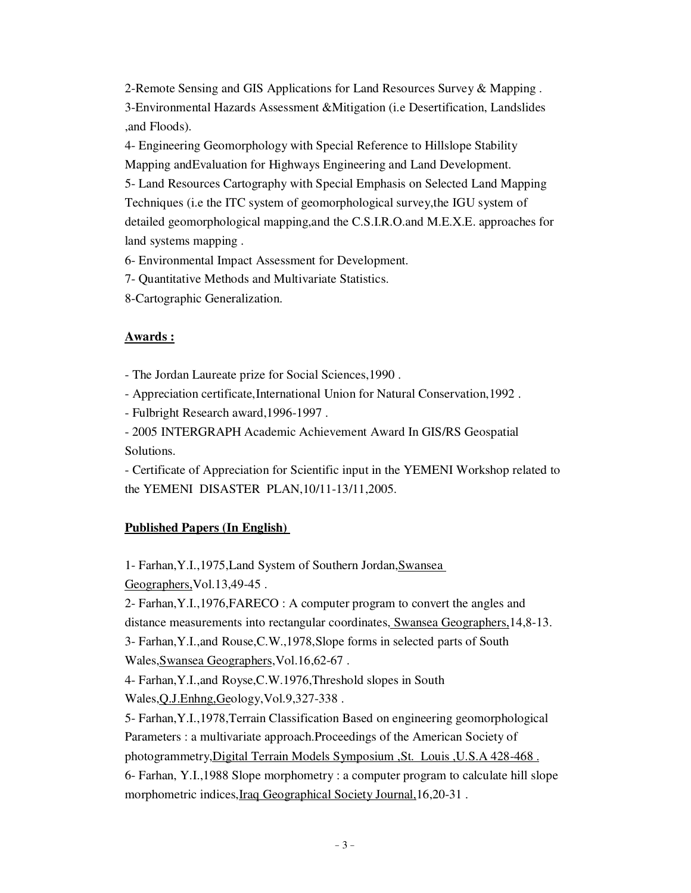2-Remote Sensing and GIS Applications for Land Resources Survey & Mapping . 3-Environmental Hazards Assessment &Mitigation (i.e Desertification, Landslides

4- Engineering Geomorphology with Special Reference to Hillslope Stability

Mapping andEvaluation for Highways Engineering and Land Development.

5- Land Resources Cartography with Special Emphasis on Selected Land Mapping Techniques (i.e the ITC system of geomorphological survey,the IGU system of detailed geomorphological mapping,and the C.S.I.R.O.and M.E.X.E. approaches for land systems mapping .

6- Environmental Impact Assessment for Development.

7- Quantitative Methods and Multivariate Statistics.

8-Cartographic Generalization.

# **Awards :**

,and Floods).

- The Jordan Laureate prize for Social Sciences,1990 .

- Appreciation certificate, International Union for Natural Conservation, 1992.

- Fulbright Research award,1996-1997 .

- 2005 INTERGRAPH Academic Achievement Award In GIS/RS Geospatial Solutions.

- Certificate of Appreciation for Scientific input in the YEMENI Workshop related to the YEMENI DISASTER PLAN,10/11-13/11,2005.

# **Published Papers (In English)**

 -1 Farhan,Y.I.,1975,Land System of Southern Jordan,Swansea Geographers,Vol.13,49-45 .

2- Farhan,Y.I.,1976,FARECO : A computer program to convert the angles and distance measurements into rectangular coordinates, Swansea Geographers,14,8-13.

3- Farhan,Y.I.,and Rouse,C.W.,1978,Slope forms in selected parts of South Wales,Swansea Geographers,Vol.16,62-67 .

4- Farhan,Y.I.,and Royse,C.W.1976,Threshold slopes in South Wales,Q.J.Enhng,Geology,Vol.9,327-338 .

5- Farhan,Y.I.,1978,Terrain Classification Based on engineering geomorphological Parameters : a multivariate approach.Proceedings of the American Society of

photogrammetry,Digital Terrain Models Symposium ,St. Louis ,U.S.A 428-468 .

6- Farhan, Y.I.,1988 Slope morphometry : a computer program to calculate hill slope morphometric indices,Iraq Geographical Society Journal,16,20-31 .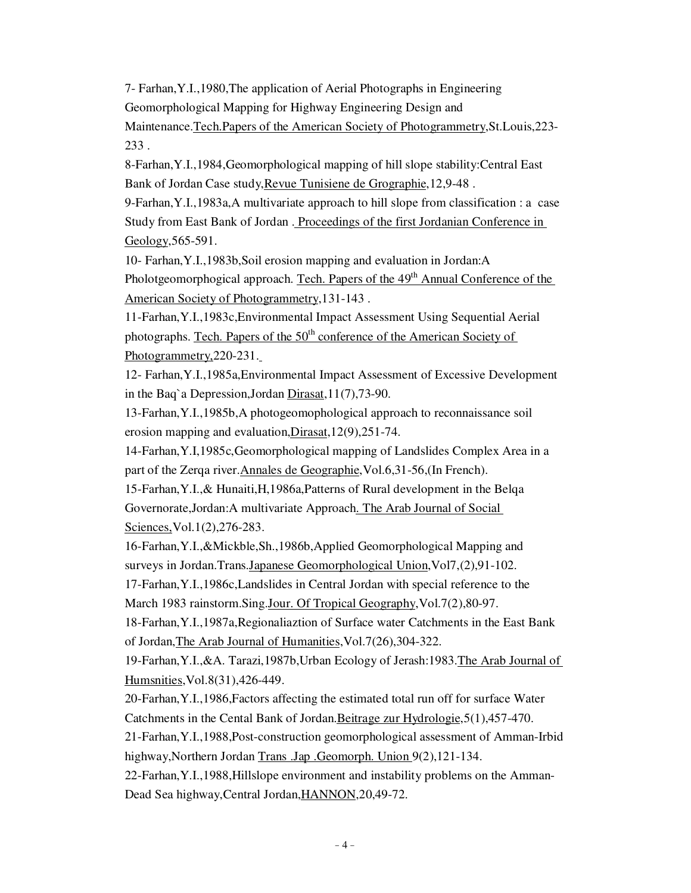7- Farhan,Y.I.,1980,The application of Aerial Photographs in Engineering Geomorphological Mapping for Highway Engineering Design and Maintenance.Tech.Papers of the American Society of Photogrammetry,St.Louis,223- 233 .

8-Farhan,Y.I.,1984,Geomorphological mapping of hill slope stability:Central East Bank of Jordan Case study, Revue Tunisiene de Grographie, 12,9-48.

9-Farhan,Y.I.,1983a,A multivariate approach to hill slope from classification : a case Study from East Bank of Jordan . Proceedings of the first Jordanian Conference in Geology, 565-591.

10- Farhan,Y.I.,1983b,Soil erosion mapping and evaluation in Jordan:A Pholotgeomorphogical approach. Tech. Papers of the 49<sup>th</sup> Annual Conference of the American Society of Photogrammetry,131-143 .

11-Farhan,Y.I.,1983c,Environmental Impact Assessment Using Sequential Aerial photographs. Tech. Papers of the  $50<sup>th</sup>$  conference of the American Society of Photogrammetry,220-231.

12- Farhan,Y.I.,1985a,Environmental Impact Assessment of Excessive Development in the Baq`a Depression,Jordan Dirasat,11(7),73-90.

13-Farhan,Y.I.,1985b,A photogeomophological approach to reconnaissance soil erosion mapping and evaluation,Dirasat,12(9),251-74.

14-Farhan,Y.I,1985c,Geomorphological mapping of Landslides Complex Area in a part of the Zerqa river. Annales de Geographie, Vol.6,31-56, (In French).

15-Farhan,Y.I.,& Hunaiti,H,1986a,Patterns of Rural development in the Belqa Governorate,Jordan:A multivariate Approach. The Arab Journal of Social Sciences, Vol.1(2), 276-283.

16-Farhan,Y.I.,&Mickble,Sh.,1986b,Applied Geomorphological Mapping and surveys in Jordan.Trans.Japanese Geomorphological Union,Vol7,(2),91-102.

17-Farhan,Y.I.,1986c,Landslides in Central Jordan with special reference to the

March 1983 rainstorm.Sing.Jour. Of Tropical Geography,Vol.7(2),80-97.

18-Farhan,Y.I.,1987a,Regionaliaztion of Surface water Catchments in the East Bank of Jordan,The Arab Journal of Humanities,Vol.7(26),304-322.

19-Farhan,Y.I.,&A. Tarazi,1987b,Urban Ecology of Jerash:1983.The Arab Journal of Humsnities,Vol.8(31),426-449.

20-Farhan,Y.I.,1986,Factors affecting the estimated total run off for surface Water Catchments in the Cental Bank of Jordan.Beitrage zur Hydrologie,5(1),457-470.

21-Farhan,Y.I.,1988,Post-construction geomorphological assessment of Amman-Irbid highway,Northern Jordan Trans .Jap .Geomorph. Union 9(2),121-134.

22-Farhan,Y.I.,1988,Hillslope environment and instability problems on the Amman-Dead Sea highway, Central Jordan, HANNON, 20, 49-72.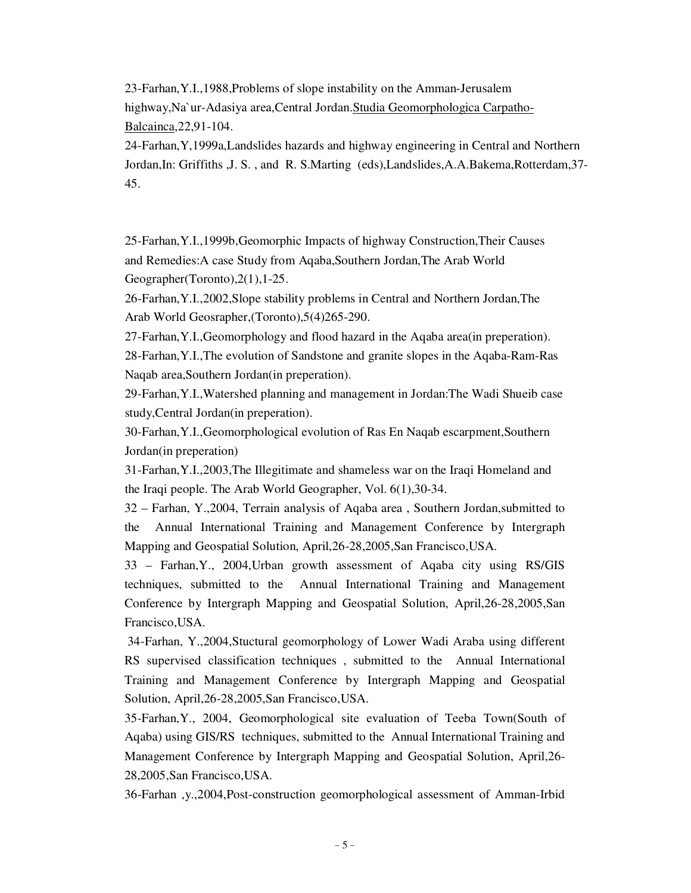23-Farhan,Y.I.,1988,Problems of slope instability on the Amman-Jerusalem

highway,Na`ur-Adasiya area,Central Jordan.Studia Geomorphologica Carpatho-Balcainca,22,91-104.

24-Farhan,Y,1999a,Landslides hazards and highway engineering in Central and Northern Jordan,In: Griffiths ,J. S. , and R. S.Marting (eds),Landslides,A.A.Bakema,Rotterdam,37- 45.

25-Farhan,Y.I.,1999b,Geomorphic Impacts of highway Construction,Their Causes and Remedies:A case Study from Aqaba,Southern Jordan,The Arab World Geographer(Toronto),2(1),1-25.

26-Farhan,Y.I.,2002,Slope stability problems in Central and Northern Jordan,The Arab World Geosrapher,(Toronto),5(4)265-290.

27-Farhan,Y.I.,Geomorphology and flood hazard in the Aqaba area(in preperation). 28-Farhan,Y.I.,The evolution of Sandstone and granite slopes in the Aqaba-Ram-Ras Naqab area,Southern Jordan(in preperation).

29-Farhan,Y.I.,Watershed planning and management in Jordan:The Wadi Shueib case study,Central Jordan(in preperation).

30-Farhan,Y.I.,Geomorphological evolution of Ras En Naqab escarpment,Southern Jordan(in preperation)

31-Farhan,Y.I.,2003,The Illegitimate and shameless war on the Iraqi Homeland and the Iraqi people. The Arab World Geographer, Vol. 6(1),30-34.

32 – Farhan, Y.,2004, Terrain analysis of Aqaba area , Southern Jordan,submitted to the Annual International Training and Management Conference by Intergraph Mapping and Geospatial Solution, April,26-28,2005,San Francisco,USA.

33 – Farhan,Y., 2004,Urban growth assessment of Aqaba city using RS/GIS techniques, submitted to the Annual International Training and Management Conference by Intergraph Mapping and Geospatial Solution, April,26-28,2005,San Francisco,USA.

 34-Farhan, Y.,2004,Stuctural geomorphology of Lower Wadi Araba using different RS supervised classification techniques , submitted to the Annual International Training and Management Conference by Intergraph Mapping and Geospatial Solution, April,26-28,2005,San Francisco,USA.

35-Farhan,Y., 2004, Geomorphological site evaluation of Teeba Town(South of Aqaba) using GIS/RS techniques, submitted to the Annual International Training and Management Conference by Intergraph Mapping and Geospatial Solution, April,26- 28,2005,San Francisco,USA.

36-Farhan ,y.,2004,Post-construction geomorphological assessment of Amman-Irbid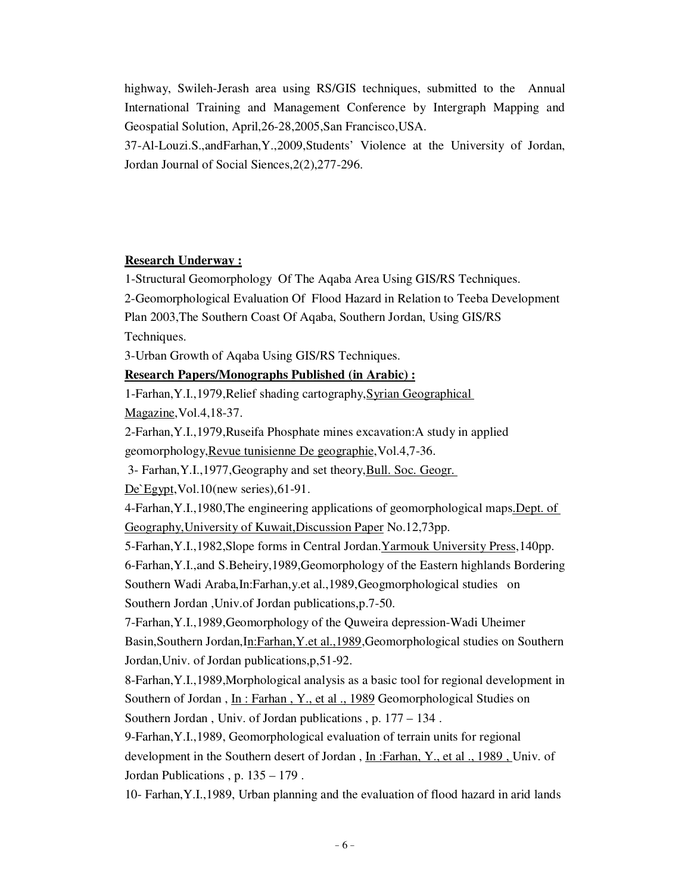highway, Swileh-Jerash area using RS/GIS techniques, submitted to the Annual International Training and Management Conference by Intergraph Mapping and Geospatial Solution, April,26-28,2005,San Francisco,USA.

37-Al-Louzi.S.,andFarhan,Y.,2009,Students' Violence at the University of Jordan, Jordan Journal of Social Siences,2(2),277-296.

## **Research Underway :**

1-Structural Geomorphology Of The Aqaba Area Using GIS/RS Techniques.

2-Geomorphological Evaluation Of Flood Hazard in Relation to Teeba Development

Plan 2003,The Southern Coast Of Aqaba, Southern Jordan, Using GIS/RS Techniques.

3-Urban Growth of Aqaba Using GIS/RS Techniques.

## **Research Papers/Monographs Published (in Arabic) :**

-1 Farhan,Y.I.,1979,Relief shading cartography,Syrian Geographical Magazine,Vol.4,18-37.

2-Farhan,Y.I.,1979,Ruseifa Phosphate mines excavation:A study in applied geomorphology,Revue tunisienne De geographie,Vol.4,7-36.

3- Farhan, Y.I., 1977, Geography and set theory, Bull. Soc. Geogr.

De`Egypt, Vol.10(new series), 61-91.

4-Farhan, Y.I., 1980, The engineering applications of geomorphological maps. Dept. of Geography,University of Kuwait,Discussion Paper No.12,73pp.

-5 Farhan,Y.I.,1982,Slope forms in Central Jordan.Yarmouk University Press,140pp.

6-Farhan,Y.I.,and S.Beheiry,1989,Geomorphology of the Eastern highlands Bordering Southern Wadi Araba,In:Farhan,y.et al.,1989,Geogmorphological studies on Southern Jordan ,Univ.of Jordan publications,p.7-50.

7-Farhan,Y.I.,1989,Geomorphology of the Quweira depression-Wadi Uheimer Basin,Southern Jordan,In:Farhan,Y.et al.,1989,Geomorphological studies on Southern Jordan,Univ. of Jordan publications,p,51-92.

8-Farhan,Y.I.,1989,Morphological analysis as a basic tool for regional development in Southern of Jordan, In: Farhan, Y., et al., 1989 Geomorphological Studies on Southern Jordan , Univ. of Jordan publications , p. 177 – 134 .

9-Farhan,Y.I.,1989, Geomorphological evaluation of terrain units for regional development in the Southern desert of Jordan, In: Farhan, Y., et al., 1989, Univ. of Jordan Publications , p. 135 – 179 .

10- Farhan,Y.I.,1989, Urban planning and the evaluation of flood hazard in arid lands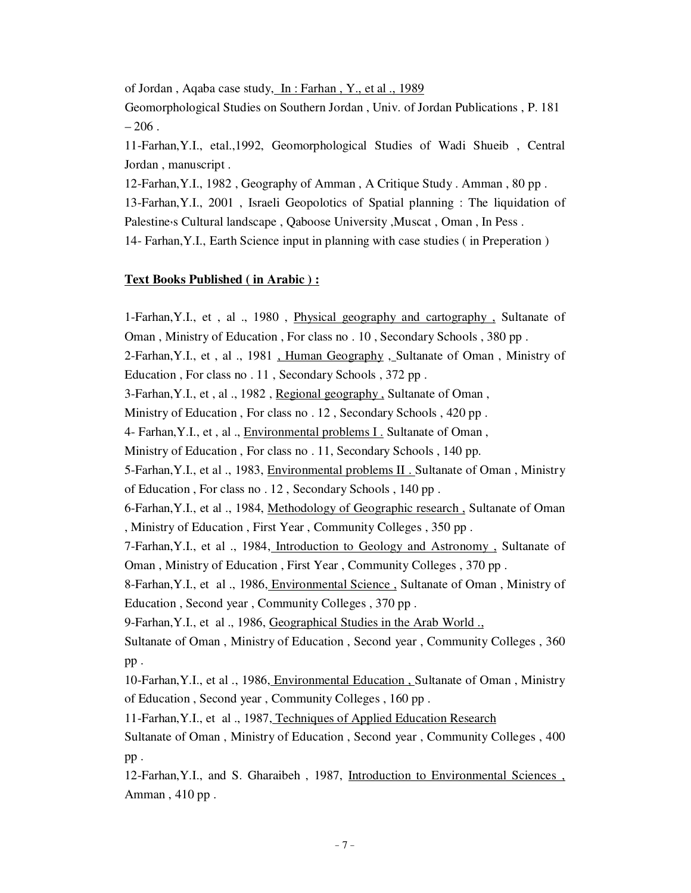of Jordan , Aqaba case study, In : Farhan , Y., et al ., 1989

Geomorphological Studies on Southern Jordan , Univ. of Jordan Publications , P. 181  $-206$ .

11-Farhan,Y.I., etal.,1992, Geomorphological Studies of Wadi Shueib , Central Jordan , manuscript .

12-Farhan,Y.I., 1982 , Geography of Amman , A Critique Study . Amman , 80 pp .

13-Farhan,Y.I., 2001 , Israeli Geopolotics of Spatial planning : The liquidation of Palestine S Cultural landscape, Qaboose University, Muscat, Oman, In Pess.

14- Farhan,Y.I., Earth Science input in planning with case studies ( in Preperation )

### **Text Books Published ( in Arabic ) :**

1-Farhan,Y.I., et , al ., 1980 , Physical geography and cartography , Sultanate of Oman , Ministry of Education , For class no . 10 , Secondary Schools , 380 pp . 2-Farhan, Y.I., et , al., 1981, Human Geography, Sultanate of Oman, Ministry of Education , For class no . 11 , Secondary Schools , 372 pp . 3-Farhan,Y.I., et , al ., 1982 , Regional geography , Sultanate of Oman , Ministry of Education , For class no . 12 , Secondary Schools , 420 pp . 4- Farhan,Y.I., et , al ., Environmental problems I . Sultanate of Oman , Ministry of Education , For class no . 11, Secondary Schools , 140 pp. 5-Farhan, Y.I., et al., 1983, Environmental problems II. Sultanate of Oman, Ministry of Education , For class no . 12 , Secondary Schools , 140 pp . 6-Farhan,Y.I., et al ., 1984, Methodology of Geographic research , Sultanate of Oman , Ministry of Education , First Year , Community Colleges , 350 pp . 7-Farhan,Y.I., et al ., 1984, Introduction to Geology and Astronomy , Sultanate of Oman , Ministry of Education , First Year , Community Colleges , 370 pp . 8-Farhan,Y.I., et al ., 1986, Environmental Science , Sultanate of Oman , Ministry of Education , Second year , Community Colleges , 370 pp . 9-Farhan, Y.I., et al., 1986, Geographical Studies in the Arab World. Sultanate of Oman , Ministry of Education , Second year , Community Colleges , 360 pp . 10-Farhan,Y.I., et al ., 1986, Environmental Education , Sultanate of Oman , Ministry of Education , Second year , Community Colleges , 160 pp . 11-Farhan,Y.I., et al ., 1987, Techniques of Applied Education Research Sultanate of Oman , Ministry of Education , Second year , Community Colleges , 400 pp . 12-Farhan,Y.I., and S. Gharaibeh , 1987, Introduction to Environmental Sciences , Amman , 410 pp .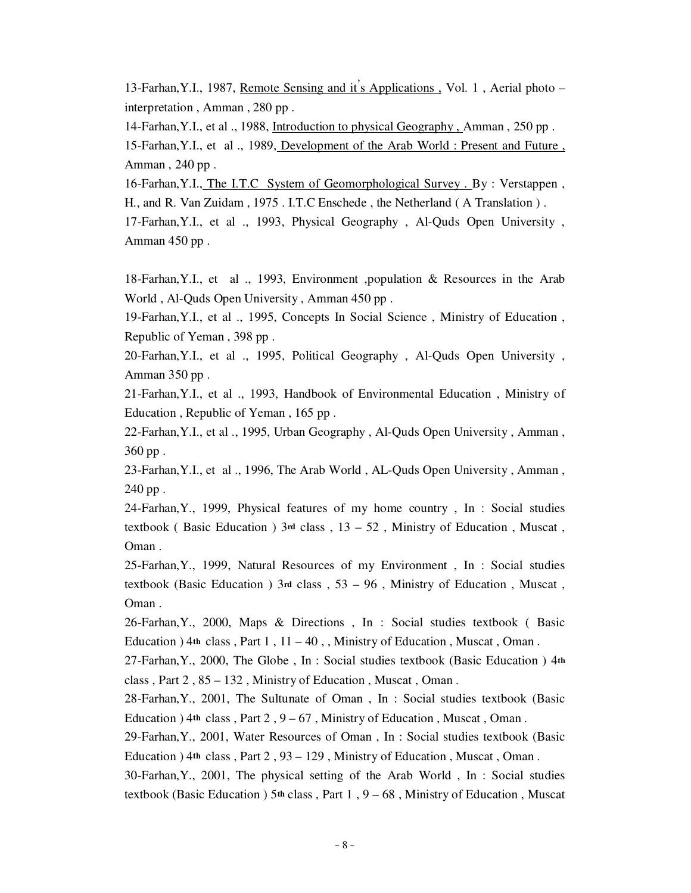13-Farhan,Y.I., 1987, Remote Sensing and it's Applications , Vol. 1 , Aerial photo – interpretation , Amman , 280 pp .

14-Farhan,Y.I., et al ., 1988, Introduction to physical Geography , Amman , 250 pp .

15-Farhan,Y.I., et al ., 1989, Development of the Arab World : Present and Future , Amman , 240 pp .

16-Farhan,Y.I., The I.T.C System of Geomorphological Survey . By : Verstappen , H., and R. Van Zuidam , 1975 . I.T.C Enschede , the Netherland ( A Translation ) .

17-Farhan,Y.I., et al ., 1993, Physical Geography , Al-Quds Open University , Amman 450 pp .

18-Farhan,Y.I., et al ., 1993, Environment ,population & Resources in the Arab World , Al-Quds Open University , Amman 450 pp .

19-Farhan,Y.I., et al ., 1995, Concepts In Social Science , Ministry of Education , Republic of Yeman , 398 pp .

20-Farhan,Y.I., et al ., 1995, Political Geography , Al-Quds Open University , Amman 350 pp .

21-Farhan,Y.I., et al ., 1993, Handbook of Environmental Education , Ministry of Education , Republic of Yeman , 165 pp .

22-Farhan,Y.I., et al ., 1995, Urban Geography , Al-Quds Open University , Amman , 360 pp .

23-Farhan,Y.I., et al ., 1996, The Arab World , AL-Quds Open University , Amman , 240 pp .

24-Farhan,Y., 1999, Physical features of my home country , In : Social studies textbook ( Basic Education ) 3**rd** class , 13 – 52 , Ministry of Education , Muscat , Oman .

25-Farhan,Y., 1999, Natural Resources of my Environment , In : Social studies textbook (Basic Education ) 3**rd** class , 53 – 96 , Ministry of Education , Muscat , Oman .

26-Farhan,Y., 2000, Maps & Directions , In : Social studies textbook ( Basic Education ) 4**th** class , Part 1 , 11 – 40 , , Ministry of Education , Muscat , Oman .

27-Farhan,Y., 2000, The Globe , In : Social studies textbook (Basic Education ) 4**th** class , Part 2 , 85 – 132 , Ministry of Education , Muscat , Oman .

28-Farhan,Y., 2001, The Sultunate of Oman , In : Social studies textbook (Basic Education ) 4**th** class , Part 2 , 9 – 67 , Ministry of Education , Muscat , Oman .

29-Farhan,Y., 2001, Water Resources of Oman , In : Social studies textbook (Basic Education ) 4**th** class , Part 2 , 93 – 129 , Ministry of Education , Muscat , Oman .

30-Farhan,Y., 2001, The physical setting of the Arab World , In : Social studies textbook (Basic Education ) 5**th** class , Part 1 , 9 – 68 , Ministry of Education , Muscat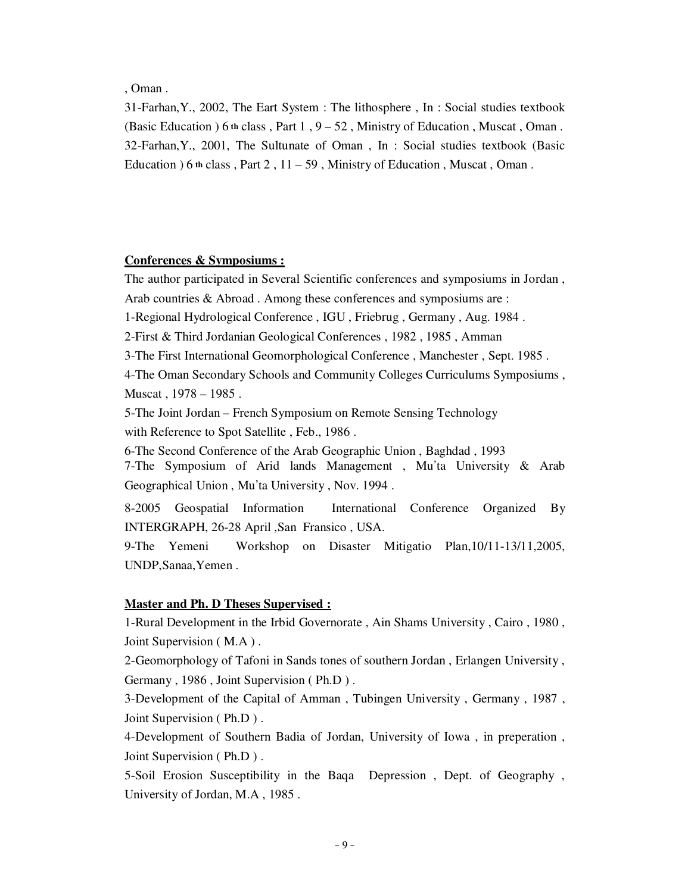, Oman .

31-Farhan,Y., 2002, The Eart System : The lithosphere , In : Social studies textbook (Basic Education ) 6 **th** class , Part 1 , 9 – 52 , Ministry of Education , Muscat , Oman . 32-Farhan,Y., 2001, The Sultunate of Oman , In : Social studies textbook (Basic Education  $\overline{)6}$  th class, Part 2, 11 – 59, Ministry of Education, Muscat, Oman.

## **Conferences & Symposiums :**

The author participated in Several Scientific conferences and symposiums in Jordan , Arab countries & Abroad . Among these conferences and symposiums are :

1-Regional Hydrological Conference , IGU , Friebrug , Germany , Aug. 1984 .

2-First & Third Jordanian Geological Conferences , 1982 , 1985 , Amman

3-The First International Geomorphological Conference , Manchester , Sept. 1985 .

4-The Oman Secondary Schools and Community Colleges Curriculums Symposiums , Muscat , 1978 – 1985 .

5-The Joint Jordan – French Symposium on Remote Sensing Technology with Reference to Spot Satellite , Feb., 1986 .

6-The Second Conference of the Arab Geographic Union , Baghdad , 1993

7-The Symposium of Arid lands Management , Mu'ta University & Arab Geographical Union , Mu'ta University , Nov. 1994 .

8-2005 Geospatial Information International Conference Organized By INTERGRAPH, 26-28 April ,San Fransico , USA.

9-The Yemeni Workshop on Disaster Mitigatio Plan,10/11-13/11,2005, UNDP,Sanaa,Yemen .

#### **Master and Ph. D Theses Supervised :**

1-Rural Development in the Irbid Governorate , Ain Shams University , Cairo , 1980 , Joint Supervision ( M.A ) .

2-Geomorphology of Tafoni in Sands tones of southern Jordan , Erlangen University , Germany , 1986 , Joint Supervision ( Ph.D ) .

3-Development of the Capital of Amman , Tubingen University , Germany , 1987 , Joint Supervision ( Ph.D ) .

4-Development of Southern Badia of Jordan, University of Iowa , in preperation , Joint Supervision ( Ph.D ) .

5-Soil Erosion Susceptibility in the Baqa Depression , Dept. of Geography , University of Jordan, M.A , 1985 .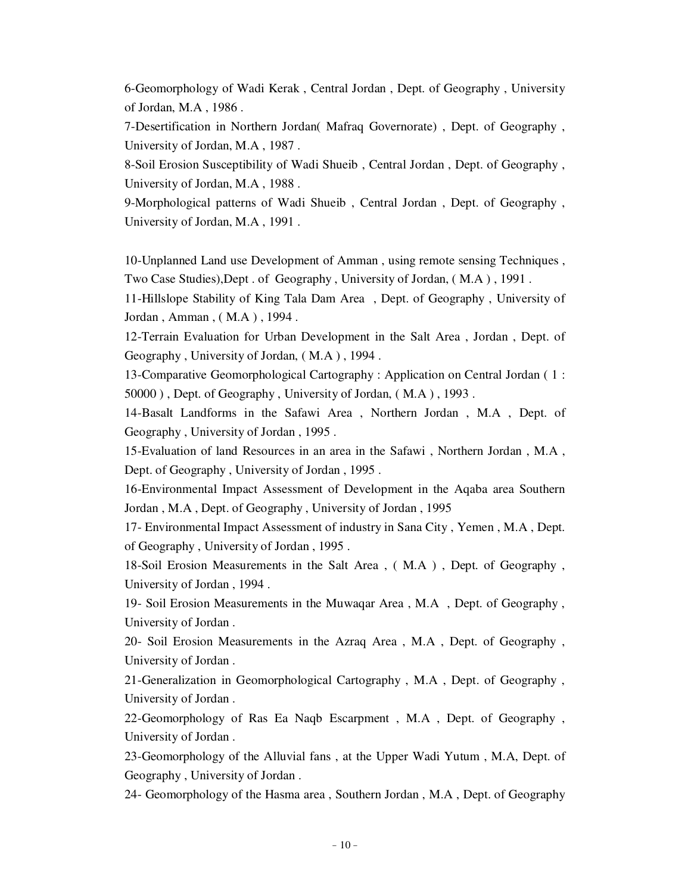6-Geomorphology of Wadi Kerak , Central Jordan , Dept. of Geography , University of Jordan, M.A , 1986 .

7-Desertification in Northern Jordan( Mafraq Governorate) , Dept. of Geography , University of Jordan, M.A , 1987 .

8-Soil Erosion Susceptibility of Wadi Shueib , Central Jordan , Dept. of Geography , University of Jordan, M.A , 1988 .

9-Morphological patterns of Wadi Shueib , Central Jordan , Dept. of Geography , University of Jordan, M.A , 1991 .

10-Unplanned Land use Development of Amman , using remote sensing Techniques , Two Case Studies),Dept . of Geography , University of Jordan, ( M.A ) , 1991 .

11-Hillslope Stability of King Tala Dam Area , Dept. of Geography , University of Jordan , Amman , ( M.A ) , 1994 .

12-Terrain Evaluation for Urban Development in the Salt Area , Jordan , Dept. of Geography , University of Jordan, ( M.A ) , 1994 .

13-Comparative Geomorphological Cartography : Application on Central Jordan ( 1 : 50000 ) , Dept. of Geography , University of Jordan, ( M.A ) , 1993 .

14-Basalt Landforms in the Safawi Area , Northern Jordan , M.A , Dept. of Geography , University of Jordan , 1995 .

15-Evaluation of land Resources in an area in the Safawi , Northern Jordan , M.A , Dept. of Geography , University of Jordan , 1995 .

16-Environmental Impact Assessment of Development in the Aqaba area Southern Jordan , M.A , Dept. of Geography , University of Jordan , 1995

17- Environmental Impact Assessment of industry in Sana City , Yemen , M.A , Dept. of Geography , University of Jordan , 1995 .

18-Soil Erosion Measurements in the Salt Area , ( M.A ) , Dept. of Geography , University of Jordan , 1994 .

19- Soil Erosion Measurements in the Muwaqar Area , M.A , Dept. of Geography , University of Jordan .

20- Soil Erosion Measurements in the Azraq Area , M.A , Dept. of Geography , University of Jordan .

21-Generalization in Geomorphological Cartography , M.A , Dept. of Geography , University of Jordan .

22-Geomorphology of Ras Ea Naqb Escarpment , M.A , Dept. of Geography , University of Jordan .

23-Geomorphology of the Alluvial fans , at the Upper Wadi Yutum , M.A, Dept. of Geography , University of Jordan .

24- Geomorphology of the Hasma area , Southern Jordan , M.A , Dept. of Geography